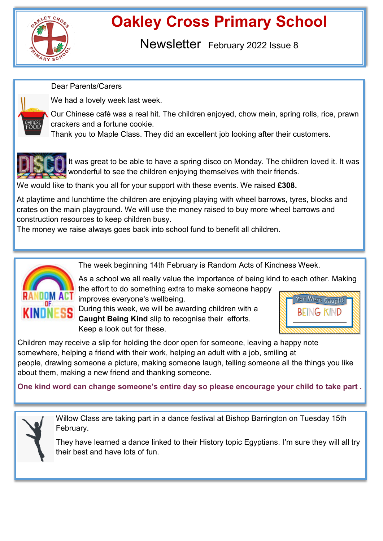

## **Oakley Cross Primary School**

Newsletter February 2022 Issue 8

Dear Parents/Carers



We had a lovely week last week.

Our Chinese café was a real hit. The children enjoyed, chow mein, spring rolls, rice, prawn crackers and a fortune cookie.

Thank you to Maple Class. They did an excellent job looking after their customers.



It was great to be able to have a spring disco on Monday. The children loved it. It was wonderful to see the children enjoying themselves with their friends.

We would like to thank you all for your support with these events. We raised **£308.** 

At playtime and lunchtime the children are enjoying playing with wheel barrows, tyres, blocks and crates on the main playground. We will use the money raised to buy more wheel barrows and construction resources to keep children busy.

The money we raise always goes back into school fund to benefit all children.



The week beginning 14th February is Random Acts of Kindness Week.

As a school we all really value the importance of being kind to each other. Making the effort to do something extra to make someone happy improves everyone's wellbeing.

During this week, we will be awarding children with a **Caught Being Kind** slip to recognise their efforts. Keep a look out for these.



Children may receive a slip for holding the door open for someone, leaving a happy note somewhere, helping a friend with their work, helping an adult with a job, smiling at people, drawing someone a picture, making someone laugh, telling someone all the things you like about them, making a new friend and thanking someone.

**One kind word can change someone's entire day so please encourage your child to take part .** 



Willow Class are taking part in a dance festival at Bishop Barrington on Tuesday 15th February.

They have learned a dance linked to their History topic Egyptians. I'm sure they will all try their best and have lots of fun.